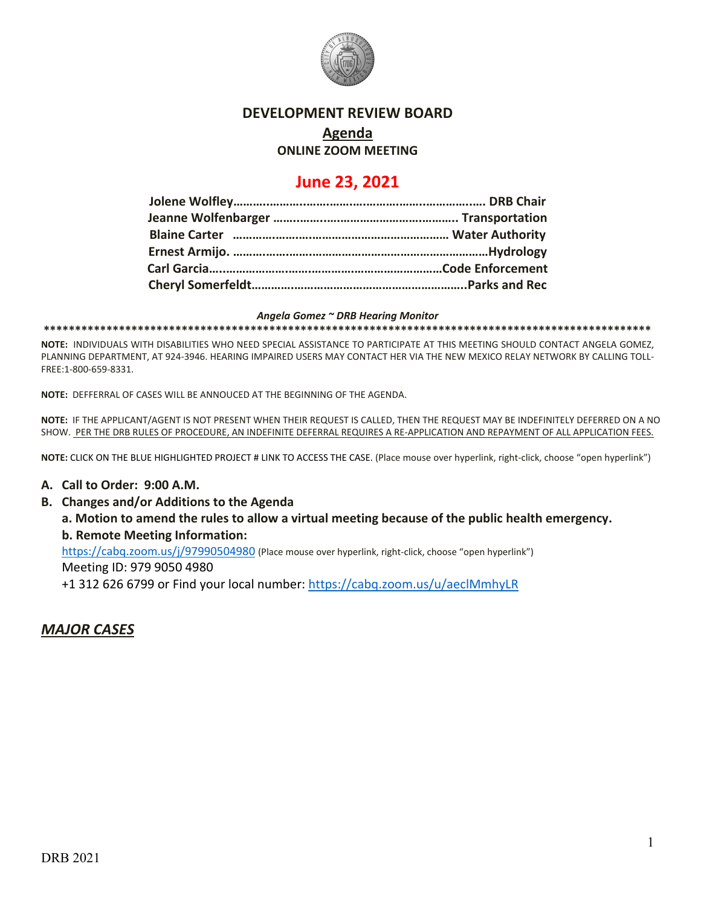

#### **DEVELOPMENT REVIEW BOARD**

# **Agenda**

### **ONLINE ZOOM MEETING**

## **June 23, 2021**

#### *Angela Gomez ~ DRB Hearing Monitor*

**\*\*\*\*\*\*\*\*\*\*\*\*\*\*\*\*\*\*\*\*\*\*\*\*\*\*\*\*\*\*\*\*\*\*\*\*\*\*\*\*\*\*\*\*\*\*\*\*\*\*\*\*\*\*\*\*\*\*\*\*\*\*\*\*\*\*\*\*\*\*\*\*\*\*\*\*\*\*\*\*\*\*\*\*\*\*\*\*\*\*\*\*\*\*\*\*\***

**NOTE:** INDIVIDUALS WITH DISABILITIES WHO NEED SPECIAL ASSISTANCE TO PARTICIPATE AT THIS MEETING SHOULD CONTACT ANGELA GOMEZ, PLANNING DEPARTMENT, AT 924-3946. HEARING IMPAIRED USERS MAY CONTACT HER VIA THE NEW MEXICO RELAY NETWORK BY CALLING TOLL-FREE:1-800-659-8331.

**NOTE:** DEFFERRAL OF CASES WILL BE ANNOUCED AT THE BEGINNING OF THE AGENDA.

**NOTE:** IF THE APPLICANT/AGENT IS NOT PRESENT WHEN THEIR REQUEST IS CALLED, THEN THE REQUEST MAY BE INDEFINITELY DEFERRED ON A NO SHOW. PER THE DRB RULES OF PROCEDURE, AN INDEFINITE DEFERRAL REQUIRES A RE-APPLICATION AND REPAYMENT OF ALL APPLICATION FEES.

**NOTE:** CLICK ON THE BLUE HIGHLIGHTED PROJECT # LINK TO ACCESS THE CASE. (Place mouse over hyperlink, right-click, choose "open hyperlink")

#### **A. Call to Order: 9:00 A.M.**

**B. Changes and/or Additions to the Agenda**

**a. Motion to amend the rules to allow a virtual meeting because of the public health emergency. b. Remote Meeting Information:** 

<https://cabq.zoom.us/j/97990504980> (Place mouse over hyperlink, right-click, choose "open hyperlink")

Meeting ID: 979 9050 4980

+1 312 626 6799 or Find your local number:<https://cabq.zoom.us/u/aeclMmhyLR>

### *MAJOR CASES*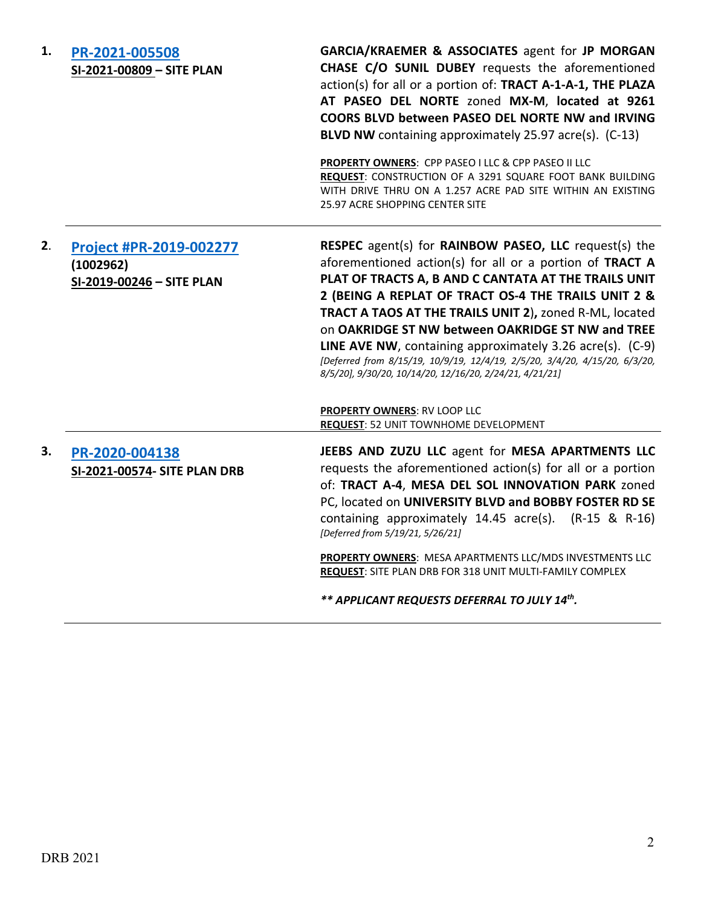| 1. | PR-2021-005508<br>SI-2021-00809 - SITE PLAN                       | GARCIA/KRAEMER & ASSOCIATES agent for JP MORGAN<br>CHASE C/O SUNIL DUBEY requests the aforementioned<br>action(s) for all or a portion of: TRACT A-1-A-1, THE PLAZA<br>AT PASEO DEL NORTE zoned MX-M, located at 9261<br>COORS BLVD between PASEO DEL NORTE NW and IRVING<br>BLVD NW containing approximately 25.97 acre(s). (C-13)<br>PROPERTY OWNERS: CPP PASEO I LLC & CPP PASEO II LLC<br>REQUEST: CONSTRUCTION OF A 3291 SQUARE FOOT BANK BUILDING<br>WITH DRIVE THRU ON A 1.257 ACRE PAD SITE WITHIN AN EXISTING<br>25.97 ACRE SHOPPING CENTER SITE           |
|----|-------------------------------------------------------------------|---------------------------------------------------------------------------------------------------------------------------------------------------------------------------------------------------------------------------------------------------------------------------------------------------------------------------------------------------------------------------------------------------------------------------------------------------------------------------------------------------------------------------------------------------------------------|
| 2. | Project #PR-2019-002277<br>(1002962)<br>SI-2019-00246 - SITE PLAN | RESPEC agent(s) for RAINBOW PASEO, LLC request(s) the<br>aforementioned action(s) for all or a portion of TRACT A<br>PLAT OF TRACTS A, B AND C CANTATA AT THE TRAILS UNIT<br>2 (BEING A REPLAT OF TRACT OS-4 THE TRAILS UNIT 2 &<br>TRACT A TAOS AT THE TRAILS UNIT 2), zoned R-ML, located<br>on OAKRIDGE ST NW between OAKRIDGE ST NW and TREE<br><b>LINE AVE NW</b> , containing approximately 3.26 $\arccos 0$ . (C-9)<br>[Deferred from 8/15/19, 10/9/19, 12/4/19, 2/5/20, 3/4/20, 4/15/20, 6/3/20,<br>8/5/20], 9/30/20, 10/14/20, 12/16/20, 2/24/21, 4/21/21] |
|    |                                                                   | <b>PROPERTY OWNERS: RV LOOP LLC</b><br><b>REQUEST: 52 UNIT TOWNHOME DEVELOPMENT</b>                                                                                                                                                                                                                                                                                                                                                                                                                                                                                 |
| 3. | PR-2020-004138                                                    | JEEBS AND ZUZU LLC agent for MESA APARTMENTS LLC                                                                                                                                                                                                                                                                                                                                                                                                                                                                                                                    |
|    | SI-2021-00574- SITE PLAN DRB                                      | requests the aforementioned action(s) for all or a portion<br>of: TRACT A-4, MESA DEL SOL INNOVATION PARK zoned<br>PC, located on UNIVERSITY BLVD and BOBBY FOSTER RD SE<br>containing approximately 14.45 acre(s). (R-15 & R-16)<br>[Deferred from 5/19/21, 5/26/21]<br>PROPERTY OWNERS: MESA APARTMENTS LLC/MDS INVESTMENTS LLC<br>REQUEST: SITE PLAN DRB FOR 318 UNIT MULTI-FAMILY COMPLEX<br>** APPLICANT REQUESTS DEFERRAL TO JULY 14th.                                                                                                                       |
|    |                                                                   |                                                                                                                                                                                                                                                                                                                                                                                                                                                                                                                                                                     |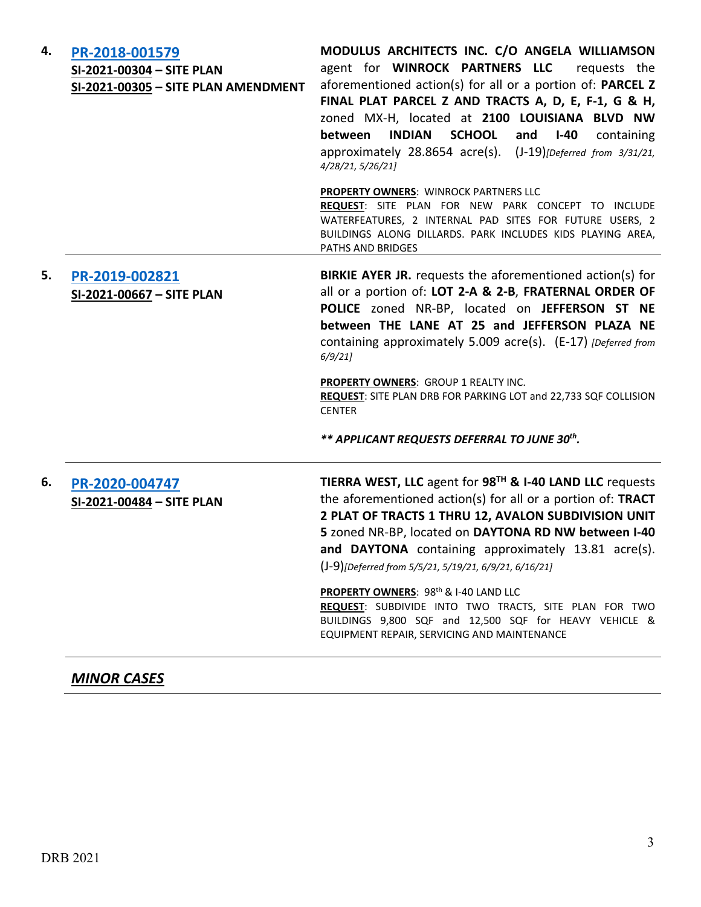| 4. | PR-2018-001579<br>SI-2021-00304 - SITE PLAN<br>SI-2021-00305 - SITE PLAN AMENDMENT | MODULUS ARCHITECTS INC. C/O ANGELA WILLIAMSON<br>agent for WINROCK PARTNERS LLC<br>requests the<br>aforementioned action(s) for all or a portion of: PARCEL Z<br>FINAL PLAT PARCEL Z AND TRACTS A, D, E, F-1, G & H,<br>zoned MX-H, located at 2100 LOUISIANA BLVD NW<br><b>INDIAN SCHOOL</b><br>between<br>and<br>$I-40$<br>containing<br>approximately 28.8654 acre(s). (J-19)[Deferred from 3/31/21,<br>4/28/21, 5/26/21]<br>PROPERTY OWNERS: WINROCK PARTNERS LLC<br>REQUEST: SITE PLAN FOR NEW PARK CONCEPT TO INCLUDE<br>WATERFEATURES, 2 INTERNAL PAD SITES FOR FUTURE USERS, 2 |
|----|------------------------------------------------------------------------------------|----------------------------------------------------------------------------------------------------------------------------------------------------------------------------------------------------------------------------------------------------------------------------------------------------------------------------------------------------------------------------------------------------------------------------------------------------------------------------------------------------------------------------------------------------------------------------------------|
|    |                                                                                    | BUILDINGS ALONG DILLARDS. PARK INCLUDES KIDS PLAYING AREA,<br>PATHS AND BRIDGES                                                                                                                                                                                                                                                                                                                                                                                                                                                                                                        |
| 5. | PR-2019-002821<br>SI-2021-00667 - SITE PLAN                                        | <b>BIRKIE AYER JR.</b> requests the aforementioned action(s) for<br>all or a portion of: LOT 2-A & 2-B, FRATERNAL ORDER OF<br>POLICE zoned NR-BP, located on JEFFERSON ST NE<br>between THE LANE AT 25 and JEFFERSON PLAZA NE<br>containing approximately 5.009 acre(s). (E-17) [Deferred from<br>6/9/21<br><b>PROPERTY OWNERS: GROUP 1 REALTY INC.</b><br>REQUEST: SITE PLAN DRB FOR PARKING LOT and 22,733 SQF COLLISION<br><b>CENTER</b>                                                                                                                                            |
|    |                                                                                    | ** APPLICANT REQUESTS DEFERRAL TO JUNE 30th.                                                                                                                                                                                                                                                                                                                                                                                                                                                                                                                                           |
| 6. | PR-2020-004747<br>SI-2021-00484 - SITE PLAN                                        | TIERRA WEST, LLC agent for 98 <sup>TH</sup> & I-40 LAND LLC requests<br>the aforementioned action(s) for all or a portion of: TRACT<br>2 PLAT OF TRACTS 1 THRU 12, AVALON SUBDIVISION UNIT<br>5 zoned NR-BP, located on DAYTONA RD NW between I-40<br>and DAYTONA containing approximately 13.81 acre(s).<br>(J-9)[Deferred from 5/5/21, 5/19/21, 6/9/21, 6/16/21]                                                                                                                                                                                                                     |
|    |                                                                                    | PROPERTY OWNERS: 98 <sup>th</sup> & I-40 LAND LLC<br>REQUEST: SUBDIVIDE INTO TWO TRACTS, SITE PLAN FOR TWO<br>BUILDINGS 9,800 SQF and 12,500 SQF for HEAVY VEHICLE &<br>EQUIPMENT REPAIR, SERVICING AND MAINTENANCE                                                                                                                                                                                                                                                                                                                                                                    |

# *MINOR CASES*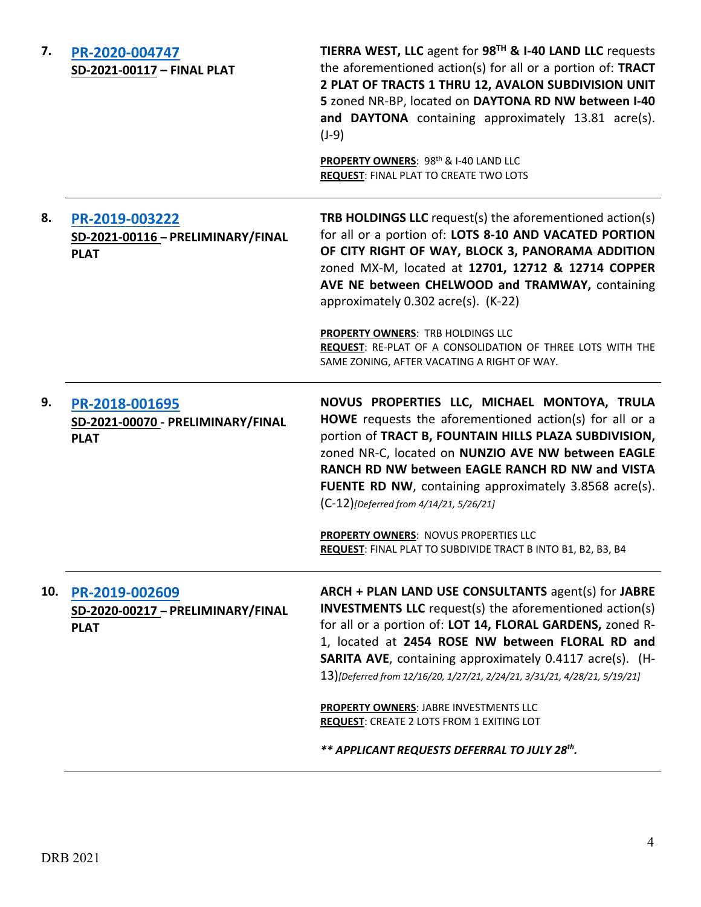| 7.  | PR-2020-004747<br>SD-2021-00117 - FINAL PLAT                       | TIERRA WEST, LLC agent for 98 <sup>TH</sup> & I-40 LAND LLC requests<br>the aforementioned action(s) for all or a portion of: TRACT<br>2 PLAT OF TRACTS 1 THRU 12, AVALON SUBDIVISION UNIT<br>5 zoned NR-BP, located on DAYTONA RD NW between I-40<br>and DAYTONA containing approximately 13.81 acre(s).<br>$(J-9)$                                                                  |
|-----|--------------------------------------------------------------------|---------------------------------------------------------------------------------------------------------------------------------------------------------------------------------------------------------------------------------------------------------------------------------------------------------------------------------------------------------------------------------------|
|     |                                                                    | PROPERTY OWNERS: 98th & I-40 LAND LLC<br><b>REQUEST: FINAL PLAT TO CREATE TWO LOTS</b>                                                                                                                                                                                                                                                                                                |
| 8.  | PR-2019-003222<br>SD-2021-00116 - PRELIMINARY/FINAL<br><b>PLAT</b> | <b>TRB HOLDINGS LLC</b> request(s) the aforementioned action(s)<br>for all or a portion of: LOTS 8-10 AND VACATED PORTION<br>OF CITY RIGHT OF WAY, BLOCK 3, PANORAMA ADDITION<br>zoned MX-M, located at 12701, 12712 & 12714 COPPER<br>AVE NE between CHELWOOD and TRAMWAY, containing<br>approximately 0.302 acre(s). (K-22)                                                         |
|     |                                                                    | PROPERTY OWNERS: TRB HOLDINGS LLC<br>REQUEST: RE-PLAT OF A CONSOLIDATION OF THREE LOTS WITH THE<br>SAME ZONING, AFTER VACATING A RIGHT OF WAY.                                                                                                                                                                                                                                        |
| 9.  | PR-2018-001695<br>SD-2021-00070 - PRELIMINARY/FINAL<br><b>PLAT</b> | NOVUS PROPERTIES LLC, MICHAEL MONTOYA, TRULA<br>HOWE requests the aforementioned action(s) for all or a<br>portion of TRACT B, FOUNTAIN HILLS PLAZA SUBDIVISION,<br>zoned NR-C, located on NUNZIO AVE NW between EAGLE<br>RANCH RD NW between EAGLE RANCH RD NW and VISTA<br><b>FUENTE RD NW, containing approximately 3.8568 acre(s).</b><br>(C-12)[Deferred from 4/14/21, 5/26/21]  |
|     |                                                                    | PROPERTY OWNERS: NOVUS PROPERTIES LLC<br>REQUEST: FINAL PLAT TO SUBDIVIDE TRACT B INTO B1, B2, B3, B4                                                                                                                                                                                                                                                                                 |
| 10. | PR-2019-002609<br>SD-2020-00217 - PRELIMINARY/FINAL<br><b>PLAT</b> | ARCH + PLAN LAND USE CONSULTANTS agent(s) for JABRE<br><b>INVESTMENTS LLC</b> request(s) the aforementioned action(s)<br>for all or a portion of: LOT 14, FLORAL GARDENS, zoned R-<br>1, located at 2454 ROSE NW between FLORAL RD and<br><b>SARITA AVE, containing approximately 0.4117 acre(s). (H-</b><br>13)[Deferred from 12/16/20, 1/27/21, 2/24/21, 3/31/21, 4/28/21, 5/19/21] |
|     |                                                                    | <b>PROPERTY OWNERS: JABRE INVESTMENTS LLC</b><br><b>REQUEST: CREATE 2 LOTS FROM 1 EXITING LOT</b>                                                                                                                                                                                                                                                                                     |
|     |                                                                    | ** APPLICANT REQUESTS DEFERRAL TO JULY 28th.                                                                                                                                                                                                                                                                                                                                          |